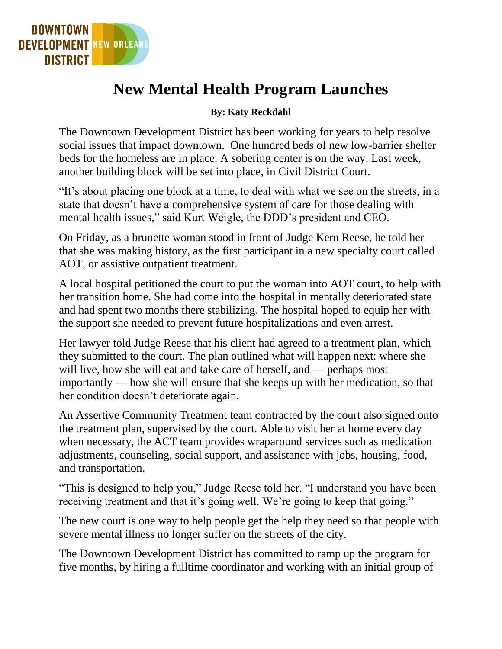

## **New Mental Health Program Launches**

## **By: Katy Reckdahl**

The Downtown Development District has been working for years to help resolve social issues that impact downtown. One hundred beds of new low-barrier shelter beds for the homeless are in place. A sobering center is on the way. Last week, another building block will be set into place, in Civil District Court.

"It's about placing one block at a time, to deal with what we see on the streets, in a state that doesn't have a comprehensive system of care for those dealing with mental health issues," said Kurt Weigle, the DDD's president and CEO.

On Friday, as a brunette woman stood in front of Judge Kern Reese, he told her that she was making history, as the first participant in a new specialty court called AOT, or assistive outpatient treatment.

A local hospital petitioned the court to put the woman into AOT court, to help with her transition home. She had come into the hospital in mentally deteriorated state and had spent two months there stabilizing. The hospital hoped to equip her with the support she needed to prevent future hospitalizations and even arrest.

Her lawyer told Judge Reese that his client had agreed to a treatment plan, which they submitted to the court. The plan outlined what will happen next: where she will live, how she will eat and take care of herself, and — perhaps most importantly — how she will ensure that she keeps up with her medication, so that her condition doesn't deteriorate again.

An Assertive Community Treatment team contracted by the court also signed onto the treatment plan, supervised by the court. Able to visit her at home every day when necessary, the ACT team provides wraparound services such as medication adjustments, counseling, social support, and assistance with jobs, housing, food, and transportation.

"This is designed to help you," Judge Reese told her. "I understand you have been receiving treatment and that it's going well. We're going to keep that going."

The new court is one way to help people get the help they need so that people with severe mental illness no longer suffer on the streets of the city.

The Downtown Development District has committed to ramp up the program for five months, by hiring a fulltime coordinator and working with an initial group of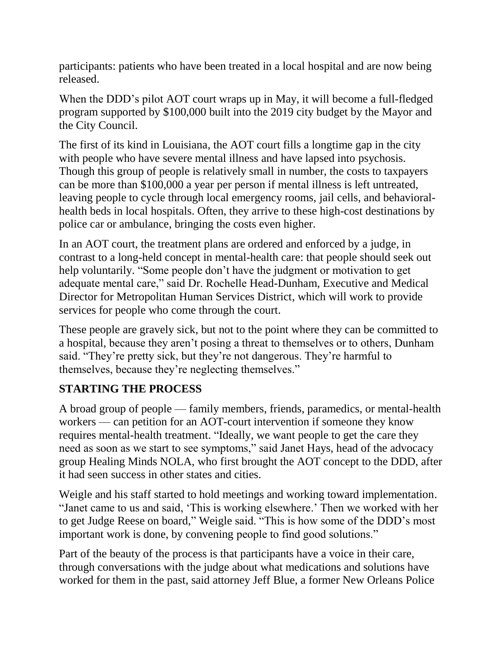participants: patients who have been treated in a local hospital and are now being released.

When the DDD's pilot AOT court wraps up in May, it will become a full-fledged program supported by \$100,000 built into the 2019 city budget by the Mayor and the City Council.

The first of its kind in Louisiana, the AOT court fills a longtime gap in the city with people who have severe mental illness and have lapsed into psychosis. Though this group of people is relatively small in number, the costs to taxpayers can be more than \$100,000 a year per person if mental illness is left untreated, leaving people to cycle through local emergency rooms, jail cells, and behavioralhealth beds in local hospitals. Often, they arrive to these high-cost destinations by police car or ambulance, bringing the costs even higher.

In an AOT court, the treatment plans are ordered and enforced by a judge, in contrast to a long-held concept in mental-health care: that people should seek out help voluntarily. "Some people don't have the judgment or motivation to get adequate mental care," said Dr. Rochelle Head-Dunham, Executive and Medical Director for Metropolitan Human Services District, which will work to provide services for people who come through the court.

These people are gravely sick, but not to the point where they can be committed to a hospital, because they aren't posing a threat to themselves or to others, Dunham said. "They're pretty sick, but they're not dangerous. They're harmful to themselves, because they're neglecting themselves."

## **STARTING THE PROCESS**

A broad group of people — family members, friends, paramedics, or mental-health workers — can petition for an AOT-court intervention if someone they know requires mental-health treatment. "Ideally, we want people to get the care they need as soon as we start to see symptoms," said Janet Hays, head of the advocacy group Healing Minds NOLA, who first brought the AOT concept to the DDD, after it had seen success in other states and cities.

Weigle and his staff started to hold meetings and working toward implementation. "Janet came to us and said, 'This is working elsewhere.' Then we worked with her to get Judge Reese on board," Weigle said. "This is how some of the DDD's most important work is done, by convening people to find good solutions."

Part of the beauty of the process is that participants have a voice in their care, through conversations with the judge about what medications and solutions have worked for them in the past, said attorney Jeff Blue, a former New Orleans Police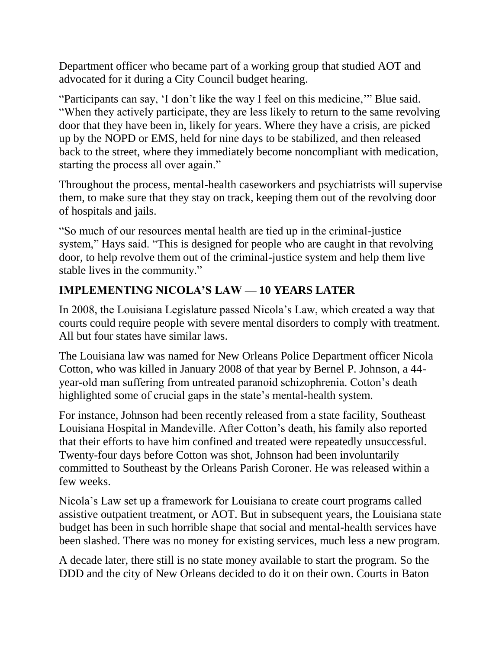Department officer who became part of a working group that studied AOT and advocated for it during a City Council budget hearing.

"Participants can say, 'I don't like the way I feel on this medicine,'" Blue said. "When they actively participate, they are less likely to return to the same revolving door that they have been in, likely for years. Where they have a crisis, are picked up by the NOPD or EMS, held for nine days to be stabilized, and then released back to the street, where they immediately become noncompliant with medication, starting the process all over again."

Throughout the process, mental-health caseworkers and psychiatrists will supervise them, to make sure that they stay on track, keeping them out of the revolving door of hospitals and jails.

"So much of our resources mental health are tied up in the criminal-justice system," Hays said. "This is designed for people who are caught in that revolving door, to help revolve them out of the criminal-justice system and help them live stable lives in the community."

## **IMPLEMENTING NICOLA'S LAW — 10 YEARS LATER**

In 2008, the Louisiana Legislature passed Nicola's Law, which created a way that courts could require people with severe mental disorders to comply with treatment. All but four states have similar laws.

The Louisiana law was named for New Orleans Police Department officer Nicola Cotton, who was killed in January 2008 of that year by Bernel P. Johnson, a 44 year-old man suffering from untreated paranoid schizophrenia. Cotton's death highlighted some of crucial gaps in the state's mental-health system.

For instance, Johnson had been recently released from a state facility, Southeast Louisiana Hospital in Mandeville. After Cotton's death, his family also reported that their efforts to have him confined and treated were repeatedly unsuccessful. Twenty-four days before Cotton was shot, Johnson had been involuntarily committed to Southeast by the Orleans Parish Coroner. He was released within a few weeks.

Nicola's Law set up a framework for Louisiana to create court programs called assistive outpatient treatment, or AOT. But in subsequent years, the Louisiana state budget has been in such horrible shape that social and mental-health services have been slashed. There was no money for existing services, much less a new program.

A decade later, there still is no state money available to start the program. So the DDD and the city of New Orleans decided to do it on their own. Courts in Baton